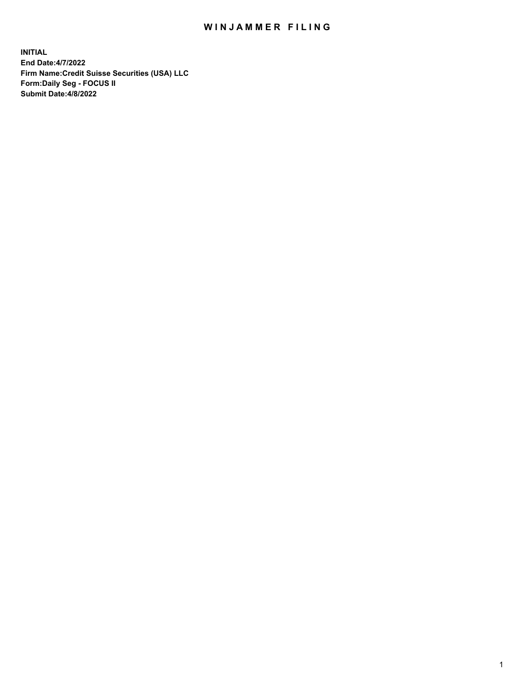## WIN JAMMER FILING

**INITIAL End Date:4/7/2022 Firm Name:Credit Suisse Securities (USA) LLC Form:Daily Seg - FOCUS II Submit Date:4/8/2022**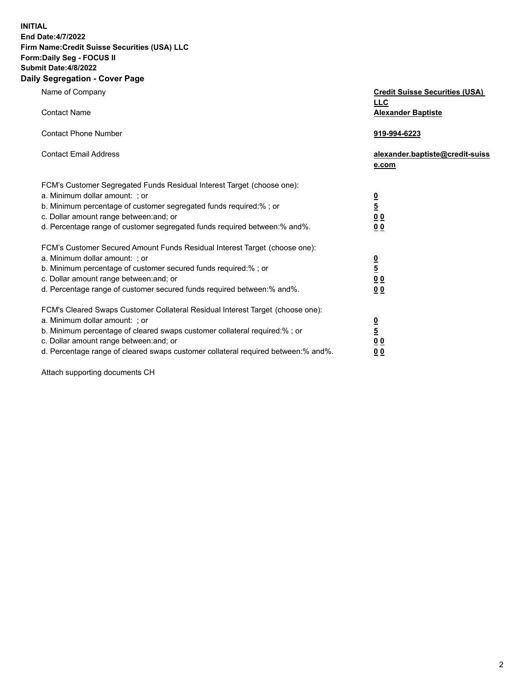**INITIAL**

## **End Date:4/7/2022 Firm Name:Credit Suisse Securities (USA) LLC Form:Daily Seg - FOCUS II Submit Date:4/8/2022**

## **Daily Segregation - Cover Page**

| Name of Company<br><b>Contact Name</b>                                                                                                                                                                                                                                                                                         | <b>Credit Suisse Securities (USA)</b><br><b>LLC</b><br><b>Alexander Baptiste</b> |
|--------------------------------------------------------------------------------------------------------------------------------------------------------------------------------------------------------------------------------------------------------------------------------------------------------------------------------|----------------------------------------------------------------------------------|
| <b>Contact Phone Number</b>                                                                                                                                                                                                                                                                                                    | 919-994-6223                                                                     |
| <b>Contact Email Address</b>                                                                                                                                                                                                                                                                                                   | alexander.baptiste@credit-suiss<br>e.com                                         |
| FCM's Customer Segregated Funds Residual Interest Target (choose one):<br>a. Minimum dollar amount: ; or<br>b. Minimum percentage of customer segregated funds required:% ; or<br>c. Dollar amount range between: and; or<br>d. Percentage range of customer segregated funds required between: % and %.                       | $\frac{0}{\frac{5}{0}}$<br>0 <sub>0</sub>                                        |
| FCM's Customer Secured Amount Funds Residual Interest Target (choose one):<br>a. Minimum dollar amount: ; or<br>b. Minimum percentage of customer secured funds required:%; or<br>c. Dollar amount range between: and; or<br>d. Percentage range of customer secured funds required between:% and%.                            | $\frac{0}{5}$<br>0 <sub>0</sub><br>0 <sub>0</sub>                                |
| FCM's Cleared Swaps Customer Collateral Residual Interest Target (choose one):<br>a. Minimum dollar amount: ; or<br>b. Minimum percentage of cleared swaps customer collateral required:% ; or<br>c. Dollar amount range between: and; or<br>d. Percentage range of cleared swaps customer collateral required between:% and%. | $\frac{0}{5}$<br>0 <sub>0</sub><br>0 <sub>0</sub>                                |

Attach supporting documents CH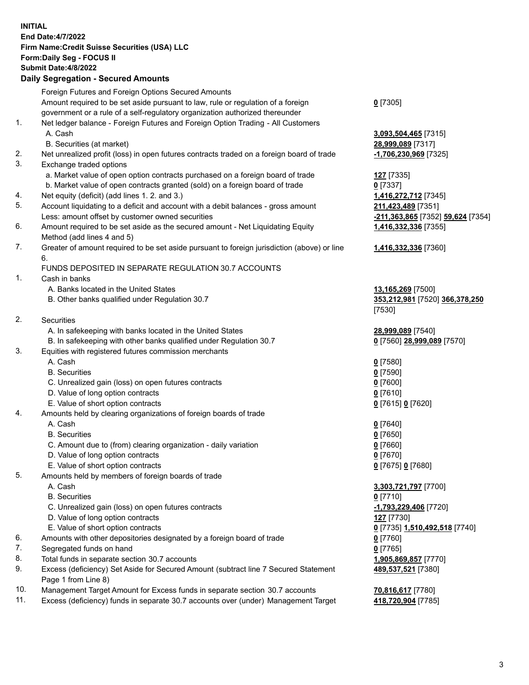**INITIAL End Date:4/7/2022 Firm Name:Credit Suisse Securities (USA) LLC Form:Daily Seg - FOCUS II Submit Date:4/8/2022**

## **Daily Segregation - Secured Amounts**

|     | Foreign Futures and Foreign Options Secured Amounts                                                        |                                   |
|-----|------------------------------------------------------------------------------------------------------------|-----------------------------------|
|     | Amount required to be set aside pursuant to law, rule or regulation of a foreign                           | $0$ [7305]                        |
|     | government or a rule of a self-regulatory organization authorized thereunder                               |                                   |
| 1.  | Net ledger balance - Foreign Futures and Foreign Option Trading - All Customers                            |                                   |
|     | A. Cash                                                                                                    | 3,093,504,465 [7315]              |
|     | B. Securities (at market)                                                                                  | 28,999,089 [7317]                 |
| 2.  | Net unrealized profit (loss) in open futures contracts traded on a foreign board of trade                  | -1,706,230,969 [7325]             |
| 3.  | Exchange traded options                                                                                    |                                   |
|     | a. Market value of open option contracts purchased on a foreign board of trade                             | <b>127</b> [7335]                 |
|     | b. Market value of open contracts granted (sold) on a foreign board of trade                               | $0$ [7337]                        |
| 4.  | Net equity (deficit) (add lines 1. 2. and 3.)                                                              | 1,416,272,712 [7345]              |
| 5.  | Account liquidating to a deficit and account with a debit balances - gross amount                          | 211,423,489 [7351]                |
|     | Less: amount offset by customer owned securities                                                           | -211,363,865 [7352] 59,624 [7354] |
| 6.  | Amount required to be set aside as the secured amount - Net Liquidating Equity                             | 1,416,332,336 [7355]              |
|     | Method (add lines 4 and 5)                                                                                 |                                   |
| 7.  | Greater of amount required to be set aside pursuant to foreign jurisdiction (above) or line                | 1,416,332,336 [7360]              |
|     | 6.                                                                                                         |                                   |
|     | FUNDS DEPOSITED IN SEPARATE REGULATION 30.7 ACCOUNTS                                                       |                                   |
| 1.  | Cash in banks                                                                                              |                                   |
|     | A. Banks located in the United States                                                                      | 13,165,269 [7500]                 |
|     | B. Other banks qualified under Regulation 30.7                                                             | 353,212,981 [7520] 366,378,250    |
|     |                                                                                                            | [7530]                            |
| 2.  | Securities                                                                                                 |                                   |
|     | A. In safekeeping with banks located in the United States                                                  | 28,999,089 [7540]                 |
|     | B. In safekeeping with other banks qualified under Regulation 30.7                                         | 0 [7560] 28,999,089 [7570]        |
| 3.  | Equities with registered futures commission merchants                                                      |                                   |
|     | A. Cash                                                                                                    | $0$ [7580]                        |
|     | <b>B.</b> Securities                                                                                       | $0$ [7590]                        |
|     | C. Unrealized gain (loss) on open futures contracts                                                        | $0$ [7600]                        |
|     | D. Value of long option contracts                                                                          | 0 [7610]                          |
|     | E. Value of short option contracts                                                                         | 0 [7615] 0 [7620]                 |
| 4.  | Amounts held by clearing organizations of foreign boards of trade                                          |                                   |
|     | A. Cash                                                                                                    | $0$ [7640]                        |
|     | <b>B.</b> Securities                                                                                       | $0$ [7650]                        |
|     | C. Amount due to (from) clearing organization - daily variation                                            | $0$ [7660]                        |
|     | D. Value of long option contracts                                                                          | $0$ [7670]                        |
|     | E. Value of short option contracts                                                                         | 0 [7675] 0 [7680]                 |
| 5.  | Amounts held by members of foreign boards of trade                                                         |                                   |
|     | A. Cash                                                                                                    | 3,303,721,797 [7700]              |
|     | <b>B.</b> Securities                                                                                       | $0$ [7710]                        |
|     | C. Unrealized gain (loss) on open futures contracts                                                        | -1,793,229,406 [7720]             |
|     | D. Value of long option contracts                                                                          | 127 [7730]                        |
|     | E. Value of short option contracts                                                                         | 0 [7735] 1,510,492,518 [7740]     |
| 6.  | Amounts with other depositories designated by a foreign board of trade                                     | $0$ [7760]                        |
| 7.  | Segregated funds on hand                                                                                   | $0$ [7765]                        |
| 8.  | Total funds in separate section 30.7 accounts                                                              | 1,905,869,857 [7770]              |
| 9.  | Excess (deficiency) Set Aside for Secured Amount (subtract line 7 Secured Statement<br>Page 1 from Line 8) | 489,537,521 [7380]                |
| 10. | Management Target Amount for Excess funds in separate section 30.7 accounts                                | 70,816,617 [7780]                 |

11. Excess (deficiency) funds in separate 30.7 accounts over (under) Management Target **418,720,904** [7785]

3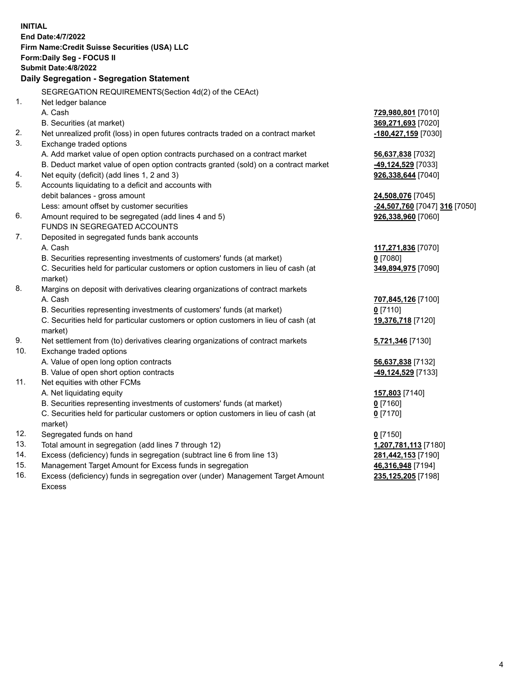|          | <b>INITIAL</b>                                                                      |                                            |
|----------|-------------------------------------------------------------------------------------|--------------------------------------------|
|          | End Date: 4/7/2022                                                                  |                                            |
|          | Firm Name: Credit Suisse Securities (USA) LLC                                       |                                            |
|          | Form: Daily Seg - FOCUS II                                                          |                                            |
|          | Submit Date: 4/8/2022                                                               |                                            |
|          | Daily Segregation - Segregation Statement                                           |                                            |
|          | SEGREGATION REQUIREMENTS(Section 4d(2) of the CEAct)                                |                                            |
| 1.       | Net ledger balance                                                                  |                                            |
|          | A. Cash                                                                             |                                            |
|          |                                                                                     | 729,980,801 [7010]                         |
| 2.       | B. Securities (at market)                                                           | 369,271,693 [7020]                         |
| 3.       | Net unrealized profit (loss) in open futures contracts traded on a contract market  | -180,427,159 [7030]                        |
|          | Exchange traded options                                                             |                                            |
|          | A. Add market value of open option contracts purchased on a contract market         | 56,637,838 [7032]                          |
|          | B. Deduct market value of open option contracts granted (sold) on a contract market | -49,124,529 [7033]                         |
| 4.<br>5. | Net equity (deficit) (add lines 1, 2 and 3)                                         | 926,338,644 [7040]                         |
|          | Accounts liquidating to a deficit and accounts with                                 |                                            |
|          | debit balances - gross amount                                                       | 24,508,076 [7045]                          |
|          | Less: amount offset by customer securities                                          | <mark>-24,507,760</mark> [7047] 316 [7050] |
| 6.       | Amount required to be segregated (add lines 4 and 5)                                | 926,338,960 [7060]                         |
|          | FUNDS IN SEGREGATED ACCOUNTS                                                        |                                            |
| 7.       | Deposited in segregated funds bank accounts                                         |                                            |
|          | A. Cash                                                                             | 117,271,836 [7070]                         |
|          | B. Securities representing investments of customers' funds (at market)              | $0$ [7080]                                 |
|          | C. Securities held for particular customers or option customers in lieu of cash (at | 349,894,975 [7090]                         |
|          | market)                                                                             |                                            |
| 8.       | Margins on deposit with derivatives clearing organizations of contract markets      |                                            |
|          | A. Cash                                                                             | 707,845,126 [7100]                         |
|          | B. Securities representing investments of customers' funds (at market)              | $0$ [7110]                                 |
|          | C. Securities held for particular customers or option customers in lieu of cash (at | 19,376,718 [7120]                          |
|          | market)                                                                             |                                            |
| 9.       | Net settlement from (to) derivatives clearing organizations of contract markets     | 5,721,346 [7130]                           |
| 10.      | Exchange traded options                                                             |                                            |
|          | A. Value of open long option contracts                                              | 56,637,838 [7132]                          |
|          | B. Value of open short option contracts                                             | <mark>-49,124,529</mark> [7133]            |
| 11.      | Net equities with other FCMs                                                        |                                            |
|          | A. Net liquidating equity                                                           | 157,803 [7140]                             |
|          | B. Securities representing investments of customers' funds (at market)              | <u>0</u> [7160]                            |
|          | C. Securities held for particular customers or option customers in lieu of cash (at | $0$ [7170]                                 |
|          | market)                                                                             |                                            |
| 12.      | Segregated funds on hand                                                            | $0$ [7150]                                 |
| 13.      | Total amount in segregation (add lines 7 through 12)                                | 1,207,781,113 [7180]                       |
| 14.      | Excess (deficiency) funds in segregation (subtract line 6 from line 13)             | 281,442,153 [7190]                         |
| 15.      | Management Target Amount for Excess funds in segregation                            | 46,316,948 [7194]                          |
| 16.      | Excess (deficiency) funds in segregation over (under) Management Target Amount      | 235,125,205 [7198]                         |
|          | <b>Excess</b>                                                                       |                                            |